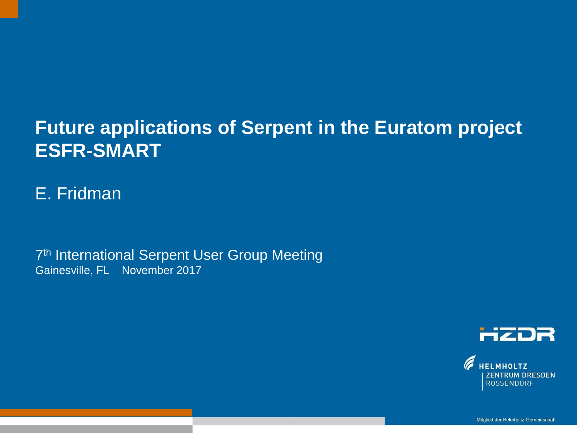### **Future applications of Serpent in the Euratom project ESFR-SMART**

Text optional: Institutsname Prof. Dr. Hans Mustermann www.fzd.de Mitglied der Leibniz-Gemeinschaft

#### E. Fridman

7<sup>th</sup> International Serpent User Group Meeting Gainesville, FL November 2017



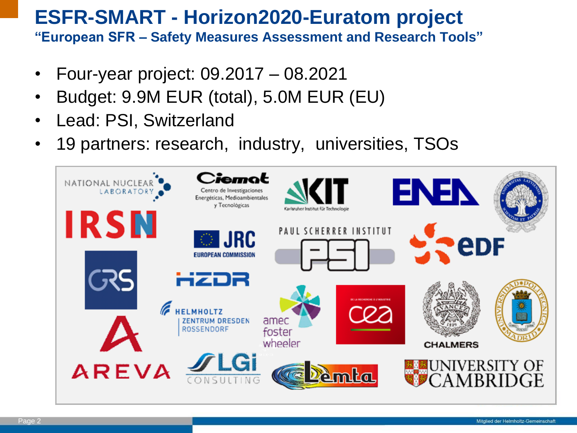#### **ESFR-SMART - Horizon2020-Euratom project "European SFR – Safety Measures Assessment and Research Tools"**

- Four-year project: 09.2017 08.2021
- Budget: 9.9M EUR (total), 5.0M EUR (EU)
- Lead: PSI, Switzerland
- 19 partners: research, industry, universities, TSOs

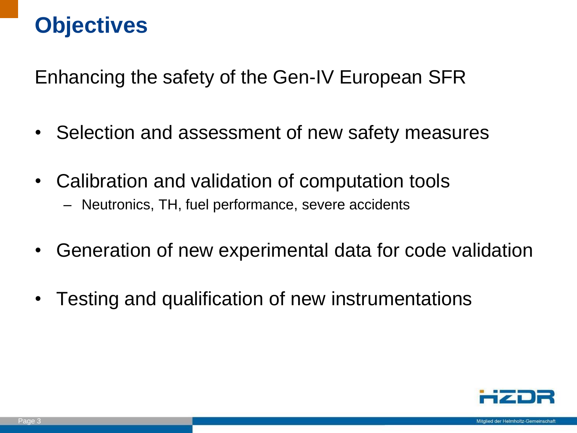## **Objectives**

Enhancing the safety of the Gen-IV European SFR

- Selection and assessment of new safety measures
- Calibration and validation of computation tools
	- Neutronics, TH, fuel performance, severe accidents
- Generation of new experimental data for code validation
- Testing and qualification of new instrumentations

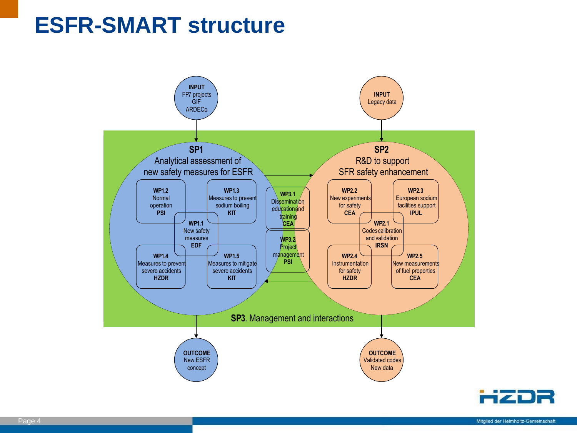## **ESFR-SMART structure**



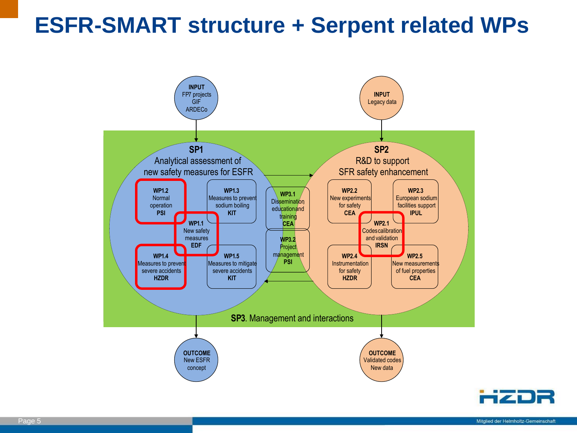## **ESFR-SMART structure + Serpent related WPs**



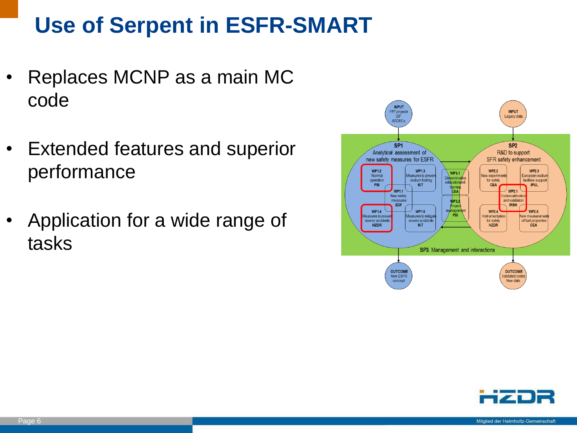## **Use of Serpent in ESFR-SMART**

- Replaces MCNP as a main MC code
- Extended features and superior performance
- Application for a wide range of tasks